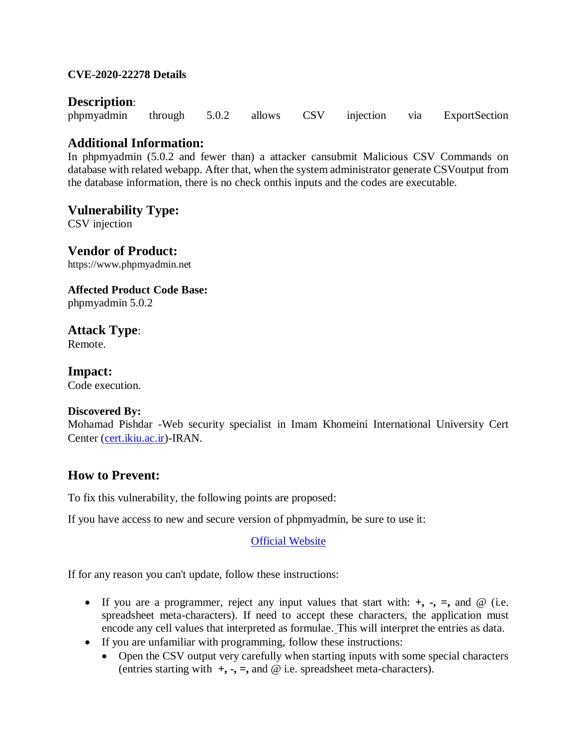### **CVE-2020-22278 Details**

# **Description**:

|  |  |  |  |  |  |  | phpmyadmin through 5.0.2 allows CSV injection via ExportSection |
|--|--|--|--|--|--|--|-----------------------------------------------------------------|
|--|--|--|--|--|--|--|-----------------------------------------------------------------|

# **Additional Information:**

In phpmyadmin (5.0.2 and fewer than) a attacker cansubmit Malicious CSV Commands on database with related webapp. After that, when the system administrator generate CSVoutput from the database information, there is no check onthis inputs and the codes are executable.

### **Vulnerability Type:**

CSV injection

**Vendor of Product:** https://www.phpmyadmin.net

**Affected Product Code Base:** phpmyadmin 5.0.2

**Attack Type**:

Remote.

**Impact:** Code execution.

#### **Discovered By:**

Mohamad Pishdar -Web security specialist in Imam Khomeini International University Cert Center [\(cert.ikiu.ac.ir\)](http://cert.ikiu.ac.ir/)-IRAN.

# **How to Prevent:**

To fix this vulnerability, the following points are proposed:

If you have access to new and secure version of phpmyadmin, be sure to use it:

# **[Official Website](https://www.phpmyadmin.net/)**

If for any reason you can't update, follow these instructions:

- If you are a programmer, reject any input values that start with:  $+$ ,  $-$ ,  $=$ , and  $\omega$  (i.e. spreadsheet meta-characters). If need to accept these characters, the application must encode any cell values that interpreted as formulae. This will interpret the entries as data.
- If you are unfamiliar with programming, follow these instructions:
	- Open the CSV output very carefully when starting inputs with some special characters (entries starting with  $+$ ,  $-$ ,  $=$ , and  $\omega$  i.e. spreadsheet meta-characters).